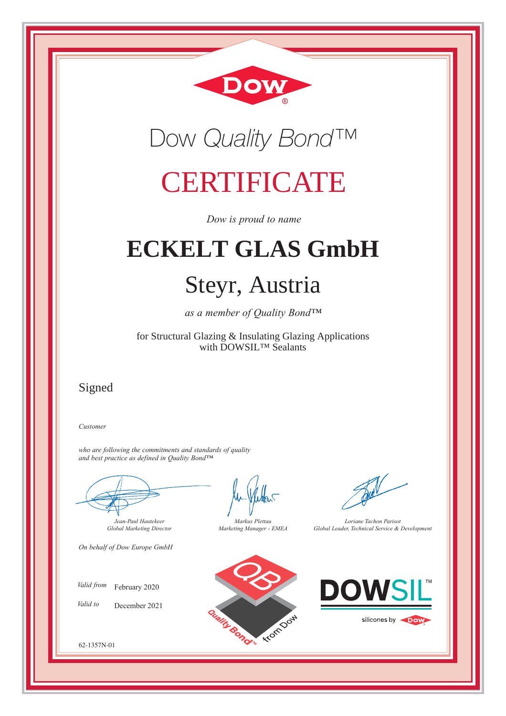



## **CERTIFICATE**

*Dow is proud to name*

# **ECKELT GLAS GmbH**

## Steyr, Austria

*as a member of Quality Bond™*

for Structural Glazing & Insulating Glazing Applications with DOWSIL™ Sealants

### Signed

*Customer*

*who are following the commitments and standards of quality and best practice as defined in Quality Bond™*

*Jean-Paul Hautekeer Global Marketing Director*

*On behalf of Dow Europe GmbH*

*Valid from*  February 2020

*Valid to*  December 2021



*Markus Plettau Marketing Manager - EMEA*



*Loriane Tachon Parisot Global Leader, Technical Service & Development*



silicones by